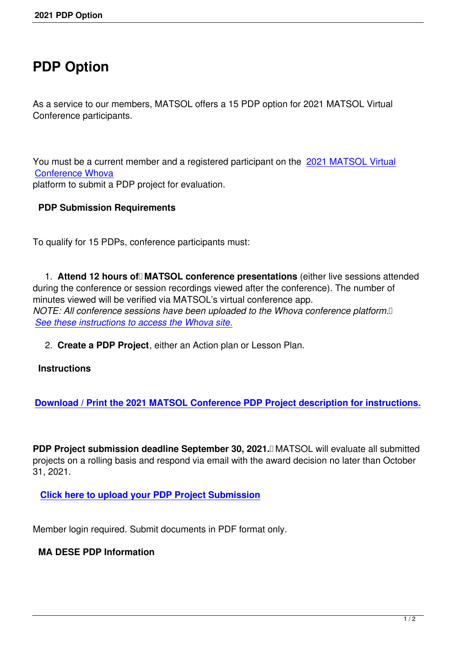## **PDP Option**

As a service to our members, MATSOL offers a 15 PDP option for 2021 MATSOL Virtual Conference participants.

You must be a current member and a registered participant on the 2021 MATSOL Virtual Conference Whova platform to submit a PDP project for evaluation.

## **[PDP Submission](https://www.matsol.org/2021-conference) Requirements**

To qualify for 15 PDPs, conference participants must:

1. Attend 12 hours of MATSOL conference presentations (either live sessions attended during the conference or session recordings viewed after the conference). The number of minutes viewed will be verified via MATSOL's virtual conference app. *NOTE: All conference sessions have been uploaded to the Whova conference platform. See these instructions to access the Whova site.*

2. **Create a PDP Project**, either an Action plan or Lesson Plan.

## **[Instructions](/2021-conference-overview)**

**Download / Print the 2021 MATSOL Conference PDP Project description for instructions.**

**PDP Project submission deadline September 30, 2021.** MATSOL will evaluate all submitted projects on a rolling basis and respond via email with the award decision no later than October 31, 2021.

**Click here to upload your PDP Project Submission**

M[ember login required. Submit documents in PDF forma](https://matsol.memberclicks.net/index.php?option=com_mcform&view=ngforms&id=2040816)t only.

## **MA DESE PDP Information**